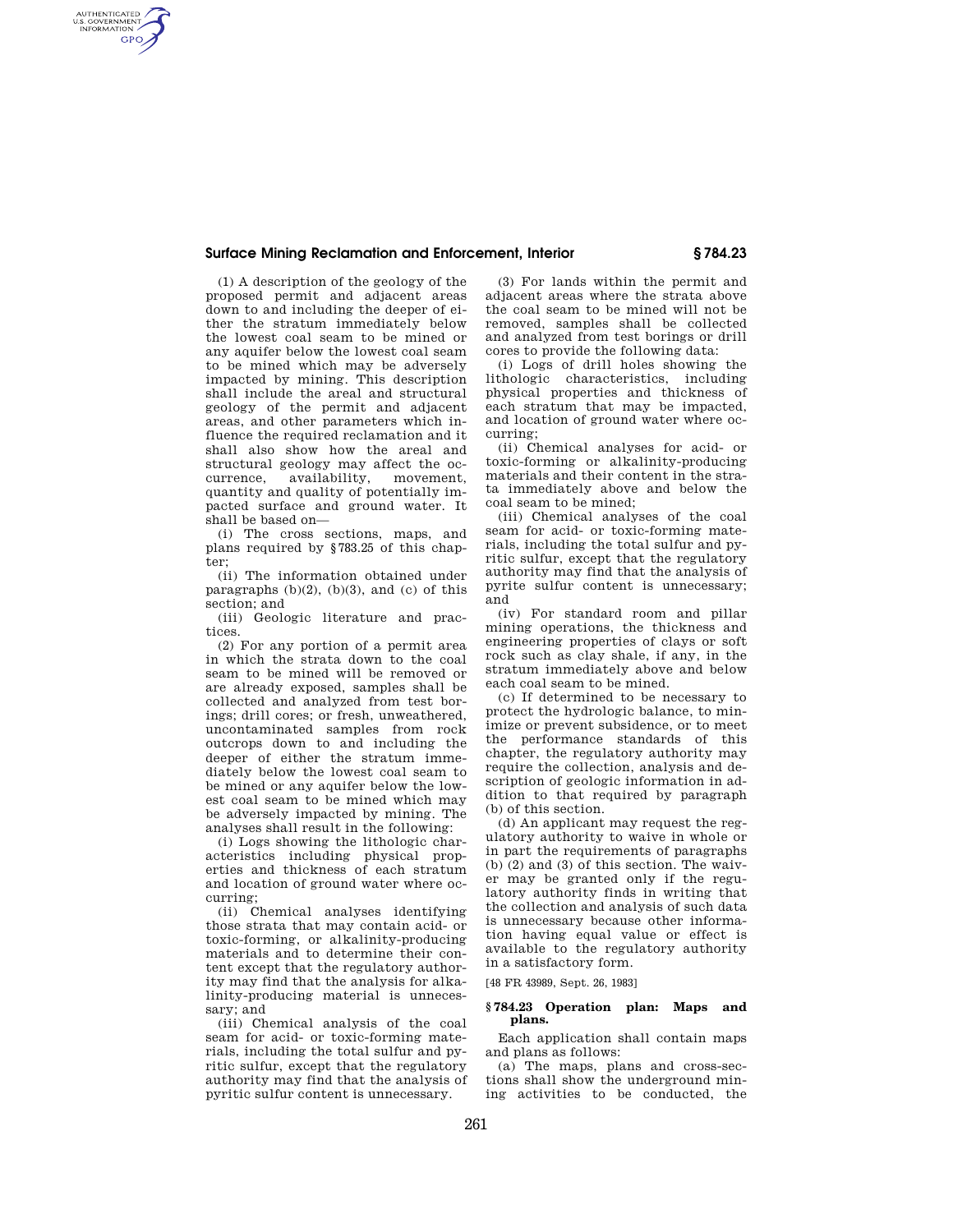## **Surface Mining Reclamation and Enforcement, Interior § 784.23**

(1) A description of the geology of the proposed permit and adjacent areas down to and including the deeper of either the stratum immediately below the lowest coal seam to be mined or any aquifer below the lowest coal seam to be mined which may be adversely impacted by mining. This description shall include the areal and structural geology of the permit and adjacent areas, and other parameters which influence the required reclamation and it shall also show how the areal and structural geology may affect the oc $a$ vailability, movement, quantity and quality of potentially impacted surface and ground water. It shall be based on—

AUTHENTICATED<br>U.S. GOVERNMENT<br>INFORMATION **GPO** 

> (i) The cross sections, maps, and plans required by §783.25 of this chapter;

> (ii) The information obtained under paragraphs  $(b)(2)$ ,  $(b)(3)$ , and  $(c)$  of this section; and

> (iii) Geologic literature and practices.

(2) For any portion of a permit area in which the strata down to the coal seam to be mined will be removed or are already exposed, samples shall be collected and analyzed from test borings; drill cores; or fresh, unweathered, uncontaminated samples from rock outcrops down to and including the deeper of either the stratum immediately below the lowest coal seam to be mined or any aquifer below the lowest coal seam to be mined which may be adversely impacted by mining. The analyses shall result in the following:

(i) Logs showing the lithologic characteristics including physical properties and thickness of each stratum and location of ground water where occurring;

(ii) Chemical analyses identifying those strata that may contain acid- or toxic-forming, or alkalinity-producing materials and to determine their content except that the regulatory authority may find that the analysis for alkalinity-producing material is unnecessary; and

(iii) Chemical analysis of the coal seam for acid- or toxic-forming materials, including the total sulfur and pyritic sulfur, except that the regulatory authority may find that the analysis of pyritic sulfur content is unnecessary.

(3) For lands within the permit and adjacent areas where the strata above the coal seam to be mined will not be removed, samples shall be collected and analyzed from test borings or drill cores to provide the following data:

(i) Logs of drill holes showing the lithologic characteristics, including physical properties and thickness of each stratum that may be impacted, and location of ground water where occurring;

(ii) Chemical analyses for acid- or toxic-forming or alkalinity-producing materials and their content in the strata immediately above and below the coal seam to be mined;

(iii) Chemical analyses of the coal seam for acid- or toxic-forming materials, including the total sulfur and pyritic sulfur, except that the regulatory authority may find that the analysis of pyrite sulfur content is unnecessary; and

(iv) For standard room and pillar mining operations, the thickness and engineering properties of clays or soft rock such as clay shale, if any, in the stratum immediately above and below each coal seam to be mined.

(c) If determined to be necessary to protect the hydrologic balance, to minimize or prevent subsidence, or to meet the performance standards of this chapter, the regulatory authority may require the collection, analysis and description of geologic information in addition to that required by paragraph (b) of this section.

(d) An applicant may request the regulatory authority to waive in whole or in part the requirements of paragraphs (b) (2) and (3) of this section. The waiver may be granted only if the regulatory authority finds in writing that the collection and analysis of such data is unnecessary because other information having equal value or effect is available to the regulatory authority in a satisfactory form.

[48 FR 43989, Sept. 26, 1983]

## **§ 784.23 Operation plan: Maps and plans.**

Each application shall contain maps and plans as follows:

(a) The maps, plans and cross-sections shall show the underground mining activities to be conducted, the